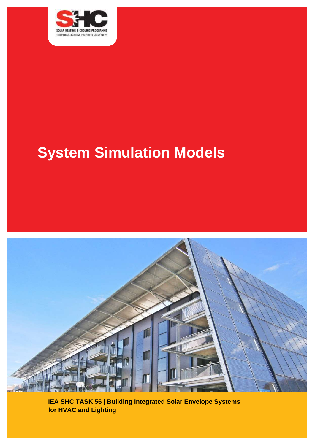

# **System Simulation Models**



**IEA SHC TASK 56 | Building Integrated Solar Envelope Systems for HVAC and Lighting**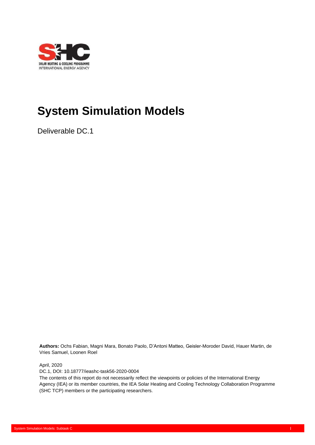

## **System Simulation Models**

Deliverable DC.1

**Authors:** Ochs Fabian, Magni Mara, Bonato Paolo, D'Antoni Matteo, Geisler-Moroder David, Hauer Martin, de Vries Samuel, Loonen Roel

April, 2020

DC.1, DOI: 10.18777/ieashc-task56-2020-0004

The contents of this report do not necessarily reflect the viewpoints or policies of the International Energy Agency (IEA) or its member countries, the IEA Solar Heating and Cooling Technology Collaboration Programme (SHC TCP) members or the participating researchers.

Report on confidential feedback workshops as a method to foster innovation: Subtask B I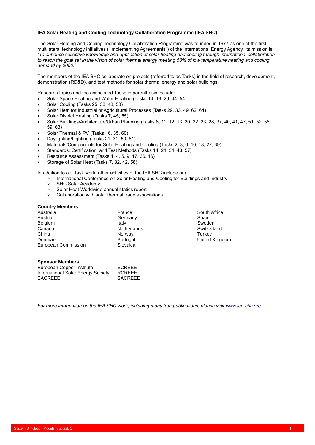#### **IEA Solar Heating and Cooling Technology Collaboration Programme (IEA SHC)**

The Solar Heating and Cooling Technology Collaboration Programme was founded in 1977 as one of the first multilateral technology initiatives ("Implementing Agreements") of the International Energy Agency. Its mission is *"To enhance collective knowledge and application of solar heating and cooling through international collaboration*  to reach the goal set in the vision of solar thermal energy meeting 50% of low temperature heating and cooling *demand by 2050."*

The members of the IEA SHC collaborate on projects (referred to as Tasks) in the field of research, development, demonstration (RD&D), and test methods for solar thermal energy and solar buildings.

Research topics and the associated Tasks in parenthesis include:

- Solar Space Heating and Water Heating (Tasks 14, 19, 26, 44, 54)
- Solar Cooling (Tasks 25, 38, 48, 53)
- Solar Heat for Industrial or Agricultural Processes (Tasks 29, 33, 49, 62, 64)
- Solar District Heating (Tasks 7, 45, 55)
- Solar Buildings/Architecture/Urban Planning (Tasks 8, 11, 12, 13, 20, 22, 23, 28, 37, 40, 41, 47, 51, 52, 56, 59, 63)
- Solar Thermal & PV (Tasks 16, 35, 60)
- Daylighting/Lighting (Tasks 21, 31, 50, 61)
- Materials/Components for Solar Heating and Cooling (Tasks 2, 3, 6, 10, 18, 27, 39)
- Standards, Certification, and Test Methods (Tasks 14, 24, 34, 43, 57)
- Resource Assessment (Tasks 1, 4, 5, 9, 17, 36, 46)
- Storage of Solar Heat (Tasks 7, 32, 42, 58)

In addition to our Task work, other activities of the IEA SHC include our:

- ➢ International Conference on Solar Heating and Cooling for Buildings and Industry
- > SHC Solar Academy<br>> Solar Heat Worldwide
- ➢ Solar Heat Worldwide annual statics report
- ➢ Collaboration with solar thermal trade associations

#### **Country Members**

| France             | South A         |
|--------------------|-----------------|
| Germany            | Spain           |
| Italy              | Sweden          |
| <b>Netherlands</b> | Switzerl        |
| Norway             | Turkey          |
| Portugal           | United <b>h</b> |
| Slovakia           |                 |
|                    |                 |

## South Africa Switzerland United Kingdom

#### **Sponsor Members**

| European Copper Institute          | ECREEE         |
|------------------------------------|----------------|
| International Solar Energy Society | <b>RCREEE</b>  |
| <b>EACREEE</b>                     | <b>SACREEE</b> |

*For more information on the IEA SHC work, including many free publications, please visi[t www.iea-shc.org](http://www.iea-shc.org/)*

Report on confidential feedback workshops as a method to foster innovation: Subtask B II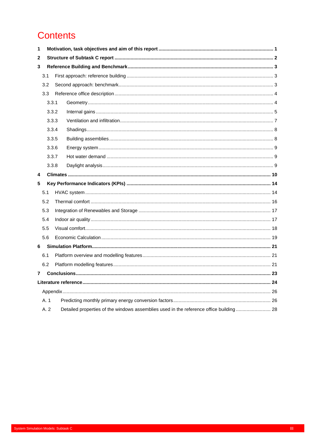## **Contents**

| 1            |     |       |  |
|--------------|-----|-------|--|
| 2            |     |       |  |
| 3            |     |       |  |
|              | 3.1 |       |  |
|              | 3.2 |       |  |
|              | 3.3 |       |  |
|              |     | 3.3.1 |  |
|              |     | 3.3.2 |  |
|              |     | 3.3.3 |  |
|              |     | 3.3.4 |  |
|              |     | 3.3.5 |  |
|              |     | 3.3.6 |  |
|              |     | 3.3.7 |  |
|              |     | 3.3.8 |  |
|              |     |       |  |
| 4            |     |       |  |
| 5            |     |       |  |
|              | 5.1 |       |  |
|              | 5.2 |       |  |
|              | 5.3 |       |  |
|              | 5.4 |       |  |
|              | 5.5 |       |  |
|              | 5.6 |       |  |
| 6.           |     |       |  |
|              | 6.1 |       |  |
|              | 6.2 |       |  |
| $\mathbf{7}$ |     |       |  |
|              |     |       |  |
|              |     |       |  |
|              | A.1 |       |  |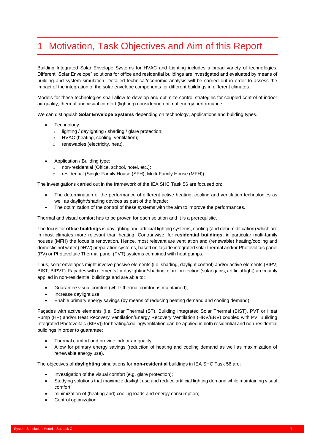## <span id="page-4-0"></span>1 Motivation, Task Objectives and Aim of this Report

Building Integrated Solar Envelope Systems for HVAC and Lighting includes a broad variety of technologies. Different "Solar Envelope" solutions for office and residential buildings are investigated and evaluated by means of building and system simulation. Detailed technical/economic analysis will be carried out in order to assess the impact of the integration of the solar envelope components for different buildings in different climates.

Models for these technologies shall allow to develop and optimize control strategies for coupled control of indoor air quality, thermal and visual comfort (lighting) considering optimal energy performance.

We can distinguish **Solar Envelope Systems** depending on technology, applications and building types.

- Technology:
	- o lighting / daylighting / shading / glare protection;
	- o HVAC (heating, cooling, ventilation);
	- o renewables (electricity, heat).
- Application / Building type:
	- o non-residential (Office, school, hotel, etc.);
	- o residential (Single-Family House (SFH), Multi-Family House (MFH)).

The investigations carried out in the framework of the IEA SHC Task 56 are focused on:

- The determination of the performance of different active heating, cooling and ventilation technologies as well as daylight/shading devices as part of the façade;
- The optimization of the control of these systems with the aim to improve the performances.

Thermal and visual comfort has to be proven for each solution and it is a prerequisite.

The focus for **office buildings** is daylighting and artificial lighting systems, cooling (and dehumidification) which are in most climates more relevant than heating. Contrariwise, for **residential buildings**, in particular multi-family houses (MFH) the focus is renovation. Hence, most relevant are ventilation and (renewable) heating/cooling and domestic hot water (DHW) preparation systems, based on façade integrated solar thermal and/or Photovoltaic panel (PV) or Photovoltaic Thermal panel (PVT) systems combined with heat pumps.

Thus, solar envelopes might involve passive elements (i.e. shading, daylight control) and/or active elements (BIPV, BIST, BIPVT). Façades with elements for daylighting/shading, glare protection (solar gains, artificial light) are mainly applied in non-residential buildings and are able to:

- Guarantee visual comfort (while thermal comfort is maintained);
- Increase daylight use;
- Enable primary energy savings (by means of reducing heating demand and cooling demand).

Façades with active elements (i.e. Solar Thermal (ST), Building Integrated Solar Thermal (BIST), PVT or Heat Pump (HP) and/or Heat Recovery Ventilation/Energy Recovery Ventilation (HRV/ERV) coupled with PV, Building Integrated Photovoltaic (BIPV)) for heating/cooling/ventilation can be applied in both residential and non-residential buildings in order to guarantee:

- Thermal comfort and provide indoor air quality;
- Allow for primary energy savings (reduction of heating and cooling demand as well as maximization of renewable energy use).

The objectives of **daylighting** simulations for **non-residential** buildings in IEA SHC Task 56 are:

- Investigation of the visual comfort (e.g. glare protection);
- Studying solutions that maximize daylight use and reduce artificial lighting demand while maintaining visual comfort;
- minimization of (heating and) cooling loads and energy consumption;
- Control optimization.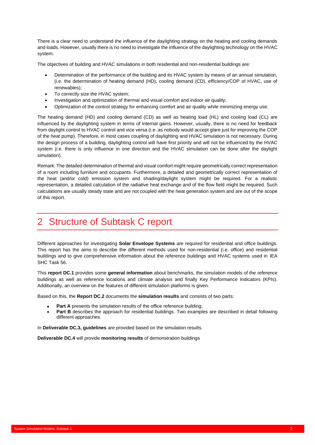There is a clear need to understand the influence of the daylighting strategy on the heating and cooling demands and loads. However, usually there is no need to investigate the influence of the daylighting technology on the HVAC system.

The objectives of building and HVAC simulations in both residential and non-residential buildings are:

- Determination of the performance of the building and its HVAC system by means of an annual simulation, (i.e. the determination of heating demand (HD), cooling demand (CD), efficiency/COP of HVAC, use of renewables);
- To correctly size the HVAC system;
- Investigation and optimization of thermal and visual comfort and indoor air quality;
- Optimization of the control strategy for enhancing comfort and air quality while minimizing energy use.

The heating demand (HD) and cooling demand (CD) as well as heating load (HL) and cooling load (CL) are influenced by the daylighting system in terms of internal gains. However, usually, there is no need for feedback from daylight control to HVAC control and vice versa (i.e. as nobody would accept glare just for improving the COP of the heat pump). Therefore, in most cases coupling of daylighting and HVAC simulation is not necessary. During the design process of a building, daylighting control will have first priority and will not be influenced by the HVAC system (i.e. there is only influence in one direction and the HVAC simulation can be done after the daylight simulation).

Remark: The detailed determination of thermal and visual comfort might require geometrically correct representation of a room including furniture and occupants. Furthermore, a detailed and geometrically correct representation of the heat (and/or cold) emission system and shading/daylight system might be required. For a realistic representation, a detailed calculation of the radiative heat exchange and of the flow field might be required. Such calculations are usually steady state and are not coupled with the heat generation system and are out of the scope of this report.

## <span id="page-5-0"></span>2 Structure of Subtask C report

Different approaches for investigating **Solar Envelope Systems** are required for residential and office buildings. This report has the aims to describe the different methods used for non-residential (i.e. office) and residential buildings and to give comprehensive information about the reference buildings and HVAC systems used in IEA SHC Task 56.

This **report DC.1** provides some **general information** about benchmarks, the simulation models of the reference buildings as well as reference locations and climate analysis and finally Key Performance Indicators (KPIs). Additionally, an overview on the features of different simulation platforms is given.

Based on this, the **Report DC.2** documents the **simulation results** and consists of two parts:

- **Part A** presents the simulation results of the office reference building;
- Part B describes the approach for residential buildings. Two examples are described in detail following different approaches.

In **Deliverable DC.3, guidelines** are provided based on the simulation results.

**Deliverable DC.4** will provide **monitoring results** of demonstration buildings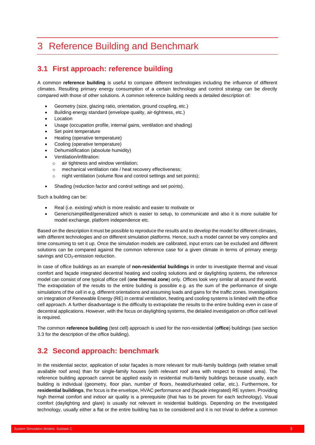## <span id="page-6-0"></span>3 Reference Building and Benchmark

## <span id="page-6-1"></span>**3.1 First approach: reference building**

A common **reference building** is useful to compare different technologies including the influence of different climates. Resulting primary energy consumption of a certain technology and control strategy can be directly compared with those of other solutions. A common reference building needs a detailed description of:

- Geometry (size, glazing ratio, orientation, ground coupling, etc.)
- Building energy standard (envelope quality, air-tightness, etc.)
- **Location**
- Usage (occupation profile, internal gains, ventilation and shading)
- Set point temperature
- Heating (operative temperature)
- Cooling (operative temperature)
- Dehumidification (absolute humidity)
- Ventilation/infiltration:
	- o air tightness and window ventilation;
	- o mechanical ventilation rate / heat recovery effectiveness;
	- o night ventilation (volume flow and control settings and set points);
- Shading (reduction factor and control settings and set points).

Such a building can be:

- Real (i.e. existing) which is more realistic and easier to motivate or
- Generic/simplified/generalized which is easier to setup, to communicate and also it is more suitable for model exchange, platform independence etc.

Based on the description it must be possible to reproduce the results and to develop the model for different climates, with different technologies and on different simulation platforms. Hence, such a model cannot be very complex and time consuming to set it up. Once the simulation models are calibrated, input errors can be excluded and different solutions can be compared against the common reference case for a given climate in terms of primary energy savings and CO<sub>2</sub>-emission reduction.

In case of office buildings as an example of **non-residential buildings** in order to investigate thermal and visual comfort and façade integrated decentral heating and cooling solutions and or daylighting systems, the reference model can consist of one typical office cell (**one thermal zone**) only. Offices look very similar all around the world. The extrapolation of the results to the entire building is possible e.g. as the sum of the performance of single simulations of the cell in e.g. different orientations and assuming loads and gains for the traffic zones. Investigations on integration of Renewable Energy (RE) in central ventilation, heating and cooling systems is limited with the office cell approach. A further disadvantage is the difficulty to extrapolate the results to the entire building even in case of decentral applications. However, with the focus on daylighting systems, the detailed investigation on office cell level is required.

The common **reference building** (test cell) approach is used for the non-residential (**office**) buildings (see section [3.3](#page-7-0) for the description of the office building).

## <span id="page-6-2"></span>**3.2 Second approach: benchmark**

In the residential sector, application of solar façades is more relevant for multi-family buildings (with relative small available roof area) than for single-family houses (with relevant roof area with respect to treated area). The reference building approach cannot be applied easily in residential multi-family buildings because usually, each building is individual (geometry, floor plan, number of floors, heated/unheated cellar, etc.). Furthermore, for **residential buildings**, the focus is the envelope, HVAC performance and (façade integrated) RE system. Providing high thermal comfort and indoor air quality is a prerequisite (that has to be proven for each technology). Visual comfort (daylighting and glare) is usually not relevant in residential buildings. Depending on the investigated technology, usually either a flat or the entire building has to be considered and it is not trivial to define a common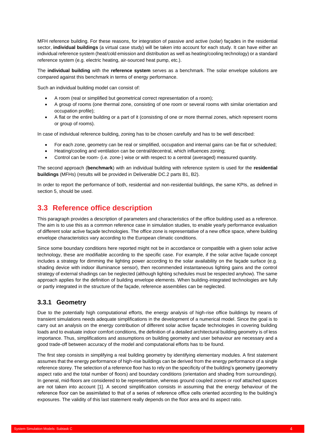MFH reference building. For these reasons, for integration of passive and active (solar) façades in the residential sector, **individual buildings** (a virtual case study) will be taken into account for each study. It can have either an individual reference system (heat/cold emission and distribution as well as heating/cooling technology) or a standard reference system (e.g. electric heating, air-sourced heat pump, etc.).

The **individual building** with the **reference system** serves as a benchmark. The solar envelope solutions are compared against this benchmark in terms of energy performance.

Such an individual building model can consist of:

- A room (real or simplified but geometrical correct representation of a room);
- A group of rooms (one thermal zone, consisting of one room or several rooms with similar orientation and occupation profile);
- A flat or the entire building or a part of it (consisting of one or more thermal zones, which represent rooms or group of rooms).

In case of individual reference building, zoning has to be chosen carefully and has to be well described:

- For each zone, geometry can be real or simplified, occupation and internal gains can be flat or scheduled;
- Heating/cooling and ventilation can be central/decentral, which influences zoning;
- Control can be room- (i.e. zone-) wise or with respect to a central (averaged) measured quantity.

The second approach (**benchmark**) with an individual building with reference system is used for the **residential buildings** (MFHs) (results will be provided in Deliverable DC.2 parts B1, B2).

In order to report the performance of both, residential and non-residential buildings, the same KPIs, as defined in section [5,](#page-17-0) should be used.

## <span id="page-7-0"></span>**3.3 Reference office description**

This paragraph provides a description of parameters and characteristics of the office building used as a reference. The aim is to use this as a common reference case in simulation studies, to enable yearly performance evaluation of different solar active façade technologies. The office zone is representative of a new office space, where building envelope characteristics vary according to the European climatic conditions.

Since some boundary conditions here reported might not be in accordance or compatible with a given solar active technology, these are modifiable according to the specific case. For example, if the solar active façade concept includes a strategy for dimming the lighting power according to the solar availability on the façade surface (e.g. shading device with indoor illuminance sensor), then recommended instantaneous lighting gains and the control strategy of external shadings can be neglected (although lighting schedules must be respected anyhow). The same approach applies for the definition of building envelope elements. When building-integrated technologies are fully or partly integrated in the structure of the façade, reference assemblies can be neglected.

#### <span id="page-7-1"></span>**3.3.1 Geometry**

Due to the potentially high computational efforts, the energy analysis of high-rise office buildings by means of transient simulations needs adequate simplifications in the development of a numerical model. Since the goal is to carry out an analysis on the energy contribution of different solar active façade technologies in covering building loads and to evaluate indoor comfort conditions, the definition of a detailed architectural building geometry is of less importance. Thus, simplifications and assumptions on building geometry and user behaviour are necessary and a good trade-off between accuracy of the model and computational efforts has to be found.

The first step consists in simplifying a real building geometry by identifying elementary modules. A first statement assumes that the energy performance of high-rise buildings can be derived from the energy performance of a single reference storey. The selection of a reference floor has to rely on the specificity of the building's geometry (geometry aspect ratio and the total number of floors) and boundary conditions (orientation and shading from surroundings). In general, mid-floors are considered to be representative, whereas ground coupled zones or roof attached spaces are not taken into account [1]. A second simplification consists in assuming that the energy behaviour of the reference floor can be assimilated to that of a series of reference office cells oriented according to the building's exposures. The validity of this last statement really depends on the floor area and its aspect ratio.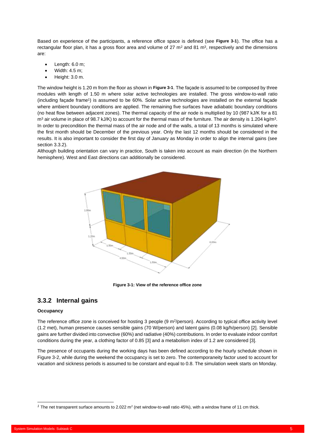Based on experience of the participants, a reference office space is defined (see **[Figure 3-1](#page-8-1)**). The office has a rectangular floor plan, it has a gross floor area and volume of 27 m<sup>2</sup> and 81 m<sup>3</sup>, respectively and the dimensions are:

- Length: 6.0 m;
- Width: 4.5 m;
- Height: 3.0 m.

The window height is 1.20 m from the floor as shown in **[Figure 3-1](#page-8-1)**. The façade is assumed to be composed by three modules with length of 1.50 m where solar active technologies are installed. The gross window-to-wall ratio (including façade frame<sup>1</sup> ) is assumed to be 60%. Solar active technologies are installed on the external façade where ambient boundary conditions are applied. The remaining five surfaces have adiabatic boundary conditions (no heat flow between adjacent zones). The thermal capacity of the air node is multiplied by 10 (987 kJ/K for a 81  $m^3$  air volume in place of 98.7 kJ/K) to account for the thermal mass of the furniture. The air density is 1.204 kg/m<sup>3</sup>. In order to precondition the thermal mass of the air node and of the walls, a total of 13 months is simulated where the first month should be December of the previous year. Only the last 12 months should be considered in the results. It is also important to consider the first day of January as Monday in order to align the internal gains (see section [3.3.2\)](#page-8-0).

Although building orientation can vary in practice, South is taken into account as main direction (in the Northern hemisphere). West and East directions can additionally be considered.



**Figure 3-1: View of the reference office zone**

### <span id="page-8-1"></span><span id="page-8-0"></span>**3.3.2 Internal gains**

#### **Occupancy**

The reference office zone is conceived for hosting 3 people (9 m<sup>2</sup>/person). According to typical office activity level (1.2 met), human presence causes sensible gains (70 W/person) and latent gains (0.08 kg/h/person) [2]. Sensible gains are further divided into convective (60%) and radiative (40%) contributions. In order to evaluate indoor comfort conditions during the year, a clothing factor of 0.85 [3] and a metabolism index of 1.2 are considered [3].

The presence of occupants during the working days has been defined according to the hourly schedule shown in [Figure 3-2,](#page-9-0) while during the weekend the occupancy is set to zero. The contemporaneity factor used to account for vacation and sickness periods is assumed to be constant and equal to 0.8. The simulation week starts on Monday.

<sup>&</sup>lt;sup>1</sup> The net transparent surface amounts to 2.022 m<sup>2</sup> (net window-to-wall ratio 45%), with a window frame of 11 cm thick.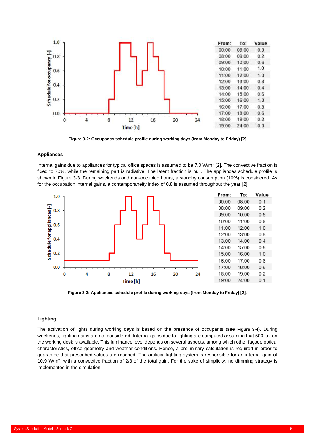

**Figure 3-2: Occupancy schedule profile during working days (from Monday to Friday) [2]**

#### <span id="page-9-0"></span>**Appliances**

Internal gains due to appliances for typical office spaces is assumed to be 7.0  $W/m^2$  [2]. The convective fraction is fixed to 70%, while the remaining part is radiative. The latent fraction is null. The appliances schedule profile is shown in [Figure 3-3.](#page-9-1) During weekends and non-occupied hours, a standby consumption (10%) is considered. As for the occupation internal gains, a contemporaneity index of 0.8 is assumed throughout the year [2].



**Figure 3-3: Appliances schedule profile during working days (from Monday to Friday) [2].**

#### <span id="page-9-1"></span>**Lighting**

The activation of lights during working days is based on the presence of occupants (see **[Figure 3-4](#page-10-1)**). During weekends, lighting gains are not considered. Internal gains due to lighting are computed assuming that 500 lux on the working desk is available. This luminance level depends on several aspects, among which other façade optical characteristics, office geometry and weather conditions. Hence, a preliminary calculation is required in order to guarantee that prescribed values are reached. The artificial lighting system is responsible for an internal gain of 10.9 W/m<sup>2</sup> , with a convective fraction of 2/3 of the total gain. For the sake of simplicity, no dimming strategy is implemented in the simulation.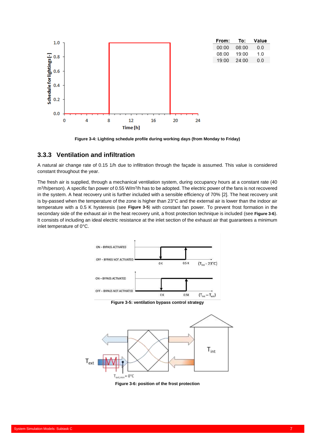

**Figure 3-4: Lighting schedule profile during working days (from Monday to Friday)**

#### <span id="page-10-1"></span><span id="page-10-0"></span>**3.3.3 Ventilation and infiltration**

A natural air change rate of 0.15 1/h due to infiltration through the façade is assumed. This value is considered constant throughout the year.

The fresh air is supplied, through a mechanical ventilation system, during occupancy hours at a constant rate (40 m<sup>3</sup>/h/person). A specific fan power of 0.55 W/m<sup>3</sup>/h has to be adopted. The electric power of the fans is not recovered in the system. A heat recovery unit is further included with a sensible efficiency of 70% [2]. The heat recovery unit is by-passed when the temperature of the zone is higher than 23°C and the external air is lower than the indoor air temperature with a 0.5 K hysteresis (see **[Figure 3-5](#page-10-2)**) with constant fan power. To prevent frost formation in the secondary side of the exhaust air in the heat recovery unit, a frost protection technique is included (see **[Figure 3-6](#page-10-3)**). It consists of including an ideal electric resistance at the inlet section of the exhaust air that guarantees a minimum inlet temperature of 0°C.

<span id="page-10-2"></span>

<span id="page-10-3"></span>**Figure 3-6: position of the frost protection**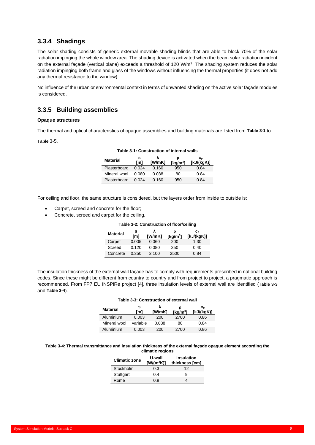### <span id="page-11-0"></span>**3.3.4 Shadings**

The solar shading consists of generic external movable shading blinds that are able to block 70% of the solar radiation impinging the whole window area. The shading device is activated when the beam solar radiation incident on the external façade (vertical plane) exceeds a threshold of 120 W/m<sup>2</sup> . The shading system reduces the solar radiation impinging both frame and glass of the windows without influencing the thermal properties (it does not add any thermal resistance to the window).

No influence of the urban or environmental context in terms of unwanted shading on the active solar façade modules is considered.

### <span id="page-11-1"></span>**3.3.5 Building assemblies**

#### **Opaque structures**

The thermal and optical characteristics of opaque assemblies and building materials are listed from **[Table 3-1](#page-11-2)** to

<span id="page-11-2"></span>**[Table](#page-11-3)** 3-5.

#### **Table 3-1: Construction of internal walls**

| <b>Material</b> | s<br>[m] | [W/mK] | ρ<br>[ $kg/m3$ ] | Сp<br>[ $kJ/(kgK)$ ] |
|-----------------|----------|--------|------------------|----------------------|
| Plasterboard    | 0.024    | 0.160  | 950              | 0.84                 |
| Mineral wool    | 0.080    | 0.038  | 80               | 0.84                 |
| Plasterboard    | 0.024    | 0.160  | 950              | 0.84                 |

For ceiling and floor, the same structure is considered, but the layers order from inside to outside is:

- Carpet, screed and concrete for the floor;
- Concrete, screed and carpet for the ceiling.

#### **Table 3-2: Construction of floor/ceiling**

| <b>Material</b> | s<br>[m] | [W/mK] | ρ<br>[ $kg/m3$ ] | $c_{p}$<br>[kJ/(kgK)] |
|-----------------|----------|--------|------------------|-----------------------|
| Carpet          | 0.005    | 0.060  | 200              | 1.30                  |
| Screed          | 0.120    | 0.080  | 350              | 0.40                  |
| Concrete        | 0.350    | 2.100  | 2500             | 0.84                  |

<span id="page-11-4"></span>The insulation thickness of the external wall façade has to comply with requirements prescribed in national building codes. Since these might be different from country to country and from project to project, a pragmatic approach is recommended. From FP7 EU iNSPiRe project [4], three insulation levels of external wall are identified (**[Table 3-3](#page-11-4)** and **[Table 3-4](#page-11-5)**).

#### **Table 3-3: Construction of external wall Material <sup>s</sup> [m] λ [W/mK] ρ [kg/m<sup>3</sup> ] cp [kJ/(kgK)]** Aluminium 0.003 200 2700 0.86 Mineral wool variable 0.038 80 0.84

Aluminium 0.003 200 2700 0.86

#### <span id="page-11-5"></span><span id="page-11-3"></span>**Table 3-4: Thermal transmittance and insulation thickness of the external façade opaque element according the climatic regions**

| <b>Climatic zone</b> | U-wall<br>[W/( $m^2K$ )] | <b>Insulation</b><br>thickness [cm] |
|----------------------|--------------------------|-------------------------------------|
| Stockholm            | 0.3                      | 12                                  |
| Stuttgart            | 0.4                      | я                                   |
| Rome                 | 0.8                      |                                     |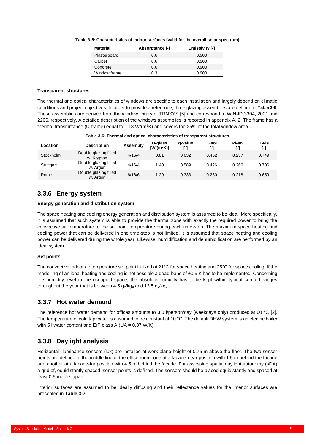| Table 3-5: Characteristics of indoor surfaces (valid for the overall solar spectrum) |  |
|--------------------------------------------------------------------------------------|--|
|--------------------------------------------------------------------------------------|--|

| <b>Material</b> | Absorptance [-] | <b>Emissivity [-]</b> |
|-----------------|-----------------|-----------------------|
| Plasterboard    | 0.6             | 0.900                 |
| Carpet          | 0.6             | 0.900                 |
| Concrete        | 0.6             | 0.900                 |
| Window frame    | 0.3             | 0.900                 |

#### **Transparent structures**

The thermal and optical characteristics of windows are specific to each installation and largely depend on climatic conditions and project objectives. In order to provide a reference, three glazing assemblies are defined in **[Table 3-6](#page-12-3)**. These assemblies are derived from the window library of TRNSYS [5] and correspond to WIN-ID 3304, 2001 and 2206, respectively. A detailed description of the windows assemblies is reported in appendi[x A. 2.](#page-31-0) The frame has a thermal transmittance (U-frame) equal to 1.18 W/(m<sup>2</sup>K) and covers the 25% of the total window area.

<span id="page-12-3"></span>

| Location  | <b>Description</b>                  | Assembly | U-glass<br>$IW/(m^2K)$ | g-value<br>r-1 | T-sol<br>r-1 | Rf-sol | T-vis<br>r-1 |
|-----------|-------------------------------------|----------|------------------------|----------------|--------------|--------|--------------|
| Stockholm | Double glazing filled<br>w. Krypton | 4/16/4   | 0.81                   | 0.632          | 0.462        | 0.237  | 0.749        |
| Stuttgart | Double glazing filled<br>w. Argon   | 4/16/4   | 1.40                   | 0.589          | 0.426        | 0.266  | 0.706        |
| Rome      | Double glazing filled<br>w. Argon   | 6/16/6   | 1.29                   | 0.333          | 0.260        | 0.218  | 0.659        |

|  | Table 3-6: Thermal and optical characteristics of transparent structures |
|--|--------------------------------------------------------------------------|
|--|--------------------------------------------------------------------------|

### <span id="page-12-0"></span>**3.3.6 Energy system**

#### **Energy generation and distribution system**

The space heating and cooling energy generation and distribution system is assumed to be ideal. More specifically, it is assumed that such system is able to provide the thermal zone with exactly the required power to bring the convective air temperature to the set point temperature during each time-step. The maximum space heating and cooling power that can be delivered in one time-step is not limited. It is assumed that space heating and cooling power can be delivered during the whole year. Likewise, humidification and dehumidification are performed by an ideal system.

#### **Set points**

The convective indoor air temperature set point is fixed at 21°C for space heating and 25°C for space cooling. If the modelling of an ideal heating and cooling is not possible a dead-band of ±0.5 K has to be implemented. Concerning the humidity level in the occupied space, the absolute humidity has to be kept within typical comfort ranges throughout the year that is between 4.5  $g_{\nu}/kg_a$  and 13.5  $g_{\nu}/kg_a$ .

#### <span id="page-12-1"></span>**3.3.7 Hot water demand**

The reference hot water demand for offices amounts to 3.0 l/person/day (weekdays only) produced at 60 °C [2]. The temperature of cold tap water is assumed to be constant at 10 °C. The default DHW system is an electric boiler with 5 I water content and ErP class A (UA = 0.37 W/K).

### <span id="page-12-2"></span>**3.3.8 Daylight analysis**

Horizontal illuminance sensors (lux) are installed at work plane height of 0.75 m above the floor. The two sensor points are defined in the middle line of the office room: one at a façade-near position with 1.5 m behind the façade and another at a façade-far position with 4.5 m behind the façade. For assessing spatial daylight autonomy (sDA) a grid of, equidistantly spaced, sensor points is defined. The sensors should be placed equidistantly and spaced at least 0.5 meters apart.

Interior surfaces are assumed to be ideally diffusing and their reflectance values for the interior surfaces are presented in **[Table 3-7](#page-13-1).**

.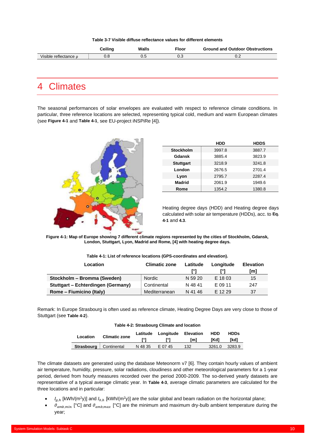**Table 3-7 Visible diffuse reflectance values for different elements**

<span id="page-13-1"></span>

|                                     | `oiline | Walls<br>____ | T <sub>loor</sub> | <b>Ground and Outdoor Obstructions</b> |
|-------------------------------------|---------|---------------|-------------------|----------------------------------------|
| /isible<br>reflectance <sub>0</sub> | U.O     | v.J           | $\sim$<br>U.J     | v.z                                    |

## <span id="page-13-0"></span>4 Climates

The seasonal performances of solar envelopes are evaluated with respect to reference climate conditions. In particular, three reference locations are selected, representing typical cold, medium and warm European climates (see **[Figure 4-1](#page-13-2)** and **[Table 4-1](#page-13-3)**, see EU-project iNSPiRe [4]).



|                  | HDD    | <b>HDDS</b> |
|------------------|--------|-------------|
| <b>Stockholm</b> | 3997.8 | 3887.7      |
| Gdansk           | 3885.4 | 3823.9      |
| <b>Stuttgart</b> | 3218.9 | 3241.8      |
| London           | 2676.5 | 2701.4      |
| Lyon             | 2795.7 | 2287.4      |
| <b>Madrid</b>    | 2061.9 | 1949.6      |
| Rome             | 1354.2 | 1380.8      |

Heating degree days (HDD) and Heating degree days calculated with solar air temperature (HDDs), acc. to **[Eq.](#page-14-0)  [4-1](#page-14-0)** and **4.3**.

<span id="page-13-2"></span>**Figure 4-1: Map of Europe showing 7 different climate regions represented by the cities of Stockholm, Gdansk, London, Stuttgart, Lyon, Madrid and Rome, [4] with heating degree days.**

<span id="page-13-3"></span>

| Location                                  | <b>Climatic zone</b><br>Latitude |         | Longitude | <b>Elevation</b> |
|-------------------------------------------|----------------------------------|---------|-----------|------------------|
|                                           |                                  |         |           | [m]              |
| Stockholm - Bromma (Sweden)               | <b>Nordic</b>                    | N 59 20 | E 18 03   | 15               |
| <b>Stuttgart – Echterdingen (Germany)</b> | Continental                      | N 48 41 | E 09 11   | 247              |
| Rome – Fiumicino (Italy)                  | Mediterranean                    | N 41 46 | E 12 29   | 37               |

<span id="page-13-4"></span>Remark: In Europe Strasbourg is often used as reference climate, Heating Degree Days are very close to those of Stuttgart (see **[Table 4-2](#page-13-4)**).

|  | Table 4-2: Strasbourg Climate and location |  |  |
|--|--------------------------------------------|--|--|
|  |                                            |  |  |

| Location                 | <b>Climatic zone</b> |         | Latitude Longitude | Elevation<br>[m] | <b>HDD</b><br>[Kd] | <b>HDDs</b><br>[kd] |
|--------------------------|----------------------|---------|--------------------|------------------|--------------------|---------------------|
| Strasbourg   Continental |                      | N 48 35 | E 07 45            | 132              | 3261.0             | 3283.9              |

The climate datasets are generated using the database Meteonorm v7 [6]. They contain hourly values of ambient air temperature, humidity, pressure, solar radiations, cloudiness and other meteorological parameters for a 1-year period, derived from hourly measures recorded over the period 2000-2009. The so-derived yearly datasets are representative of a typical average climatic year. In **[Table 4-3](#page-14-1)**, average climatic parameters are calculated for the three locations and in particular:

- $I_{g,h}$  [kWh/(m<sup>2</sup>y)] and  $I_{b,h}$  [kWh/(m<sup>2</sup>y)] are the solar global and beam radiation on the horizontal plane;
- $\vartheta_{amb,min}$  [°C] and  $\vartheta_{amb,max}$  [°C] are the minimum and maximum dry-bulb ambient temperature during the year;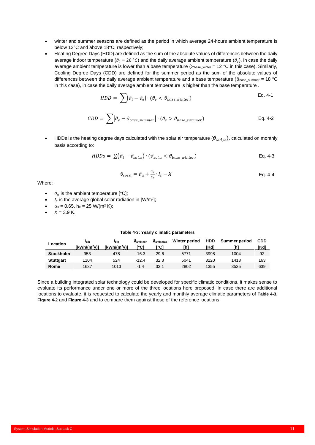- winter and summer seasons are defined as the period in which average 24-hours ambient temperature is below 12°C and above 18°C, respectively;
- Heating Degree Days (HDD) are defined as the sum of the absolute values of differences between the daily average indoor temperature ( $\theta_i=$  20 °C) and the daily average ambient temperature ( $\vartheta_e$ ), in case the daily average ambient temperature is lower than a base temperature ( $9_{base\_winter} = 12 °C$  in this case). Similarly, Cooling Degree Days (CDD) are defined for the summer period as the sum of the absolute values of differences between the daily average ambient temperature and a base temperature ( $9_{base\_summer} = 18 °C$ in this case), in case the daily average ambient temperature is higher than the base temperature .

$$
HDD = \sum |\vartheta_i - \vartheta_e| \cdot (\vartheta_e < \vartheta_{base\_winter})
$$
 Eq. 4-1

$$
CDD = \sum |\vartheta_e - \vartheta_{base\_sumer}| \cdot (\vartheta_e > \vartheta_{base\_sumer})
$$
 Eq. 4-2

HDDs is the heating degree days calculated with the solar air temperature ( $\theta_{sol,a}$ ), calculated on monthly basis according to:

$$
HDDs = \sum (\vartheta_i - \vartheta_{sol,a}) \cdot (\vartheta_{sol,a} < \vartheta_{base\_winter})
$$
\nEq. 4-3

<span id="page-14-0"></span>
$$
\vartheta_{sol,a} = \vartheta_a + \frac{\alpha_s}{h_e} \cdot I_s - X \tag{Eq. 4-4}
$$

Where:

- $\vartheta_a$  is the ambient temperature [°C];
- $\bullet$   $I_s$  is the average global solar radiation in [W/m<sup>2</sup>];
- $\alpha_s = 0.65$ , he = 25 W/(m<sup>2</sup> K);
- $X = 3.9 K$ .

#### **Table 4-3: Yearly climatic parameters**

<span id="page-14-1"></span>

| Location         | Ig,h<br>$[kWh/(m^2v)]$ | I <sub>b.h</sub><br>$I$ kWh/ $(m2v)$ | $\vartheta$ <sub>amb</sub> min<br>r°C1 | $\vartheta$ <sub>amb</sub> max<br>י°Cו | Winter period<br>ľhì | <b>HDD</b><br>[Kd] | <b>Summer period</b><br>[h] | <b>CDD</b><br>[Kd] |
|------------------|------------------------|--------------------------------------|----------------------------------------|----------------------------------------|----------------------|--------------------|-----------------------------|--------------------|
| <b>Stockholm</b> | 953                    | 478                                  | $-16.3$                                | 29.6                                   | 5771                 | 3998               | 1004                        | 92                 |
| <b>Stuttgart</b> | 1104                   | 524                                  | $-12.4$                                | 32.3                                   | 5041                 | 3220               | 1418                        | 163                |
| Rome             | 1637                   | 1013                                 | $-1.4$                                 | 33.1                                   | 2802                 | 1355               | 3535                        | 639                |

Since a building integrated solar technology could be developed for specific climatic conditions, it makes sense to evaluate its performance under one or more of the three locations here proposed. In case there are additional locations to evaluate, it is requested to calculate the yearly and monthly average climatic parameters of **[Table 4-3](#page-14-1)**, **[Figure 4-2](#page-15-0)** and **[Figure 4-3](#page-15-1)** and to compare them against those of the reference locations.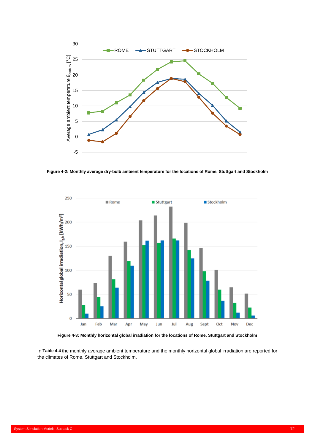

<span id="page-15-0"></span>**Figure 4-2: Monthly average dry-bulb ambient temperature for the locations of Rome, Stuttgart and Stockholm**



**Figure 4-3: Monthly horizontal global irradiation for the locations of Rome, Stuttgart and Stockholm**

<span id="page-15-1"></span>In **[Table 4-4](#page-16-0)** the monthly average ambient temperature and the monthly horizontal global irradiation are reported for the climates of Rome, Stuttgart and Stockholm.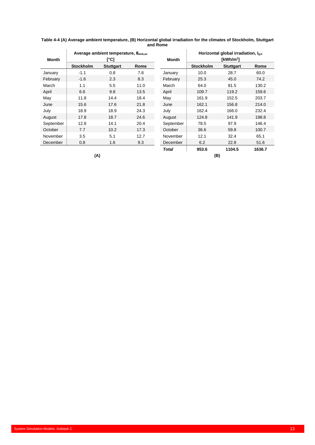| Month     |                  | Average ambient temperature, $\theta_{\text{amb.av}}$<br>[°C] |      | Month     |                  | Horizontal global irradiation, lah<br>[kWh/m <sup>2</sup> ] |        |
|-----------|------------------|---------------------------------------------------------------|------|-----------|------------------|-------------------------------------------------------------|--------|
|           | <b>Stockholm</b> | <b>Stuttgart</b>                                              | Rome |           | <b>Stockholm</b> | <b>Stuttgart</b>                                            | Rome   |
| January   | $-1.1$           | 0.8                                                           | 7.8  | January   | 10.0             | 28.7                                                        | 60.0   |
| February  | $-1.6$           | 2.3                                                           | 8.3  | February  | 25.3             | 45.0                                                        | 74.2   |
| March     | 1.1              | 5.5                                                           | 11.0 | March     | 64.0             | 81.5                                                        | 130.2  |
| April     | 6.6              | 9.8                                                           | 13.5 | April     | 109.7            | 119.2                                                       | 159.6  |
| May       | 11.8             | 14.4                                                          | 18.4 | May       | 161.9            | 152.5                                                       | 203.7  |
| June      | 15.6             | 17.6                                                          | 21.8 | June      | 162.1            | 156.8                                                       | 214.0  |
| July      | 18.9             | 18.9                                                          | 24.3 | July      | 162.4            | 166.0                                                       | 232.4  |
| August    | 17.8             | 18.7                                                          | 24.6 | August    | 124.8            | 141.9                                                       | 198.8  |
| September | 12.8             | 14.1                                                          | 20.4 | September | 78.5             | 97.9                                                        | 146.4  |
| October   | 7.7              | 10.2                                                          | 17.3 | October   | 36.6             | 59.8                                                        | 100.7  |
| November  | 3.5              | 5.1                                                           | 12.7 | November  | 12.1             | 32.4                                                        | 65.1   |
| December  | 0.8              | 1.6                                                           | 9.3  | December  | 6.2              | 22.8                                                        | 51.6   |
|           |                  |                                                               |      | Total     | 953.6            | 1104.5                                                      | 1636.7 |

<span id="page-16-0"></span>**Table 4-4 (A) Average ambient temperature, (B) Horizontal global irradiation for the climates of Stockholm, Stuttgart and Rome**

**(A) (B)**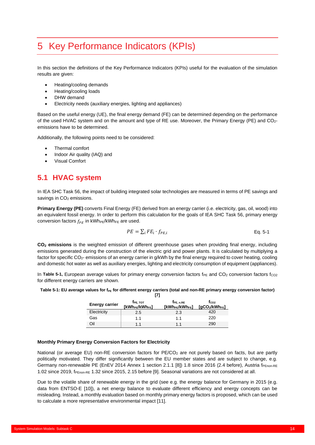## <span id="page-17-0"></span>5 Key Performance Indicators (KPIs)

In this section the definitions of the Key Performance Indicators (KPIs) useful for the evaluation of the simulation results are given:

- Heating/cooling demands
- Heating/cooling loads
- DHW demand
- Electricity needs (auxiliary energies, lighting and appliances)

Based on the useful energy (UE), the final energy demand (FE) can be determined depending on the performance of the used HVAC system and on the amount and type of RE use. Moreover, the Primary Energy (PE) and CO2 emissions have to be determined.

Additionally, the following points need to be considered:

- Thermal comfort
- Indoor Air quality (IAQ) and
- Visual Comfort

## <span id="page-17-1"></span>**5.1 HVAC system**

In IEA SHC Task 56, the impact of building integrated solar technologies are measured in terms of PE savings and savings in CO<sub>2</sub> emissions.

**Primary Energy (PE)** converts Final Energy (FE) derived from an energy carrier (i.e. electricity, gas, oil, wood) into an equivalent fossil energy. In order to perform this calculation for the goals of IEA SHC Task 56, primary energy conversion factors  $f_{PE}$  in kWh<sub>PE</sub>/kWh<sub>FE</sub> are used.

$$
PE = \sum_{i} FE_i \cdot f_{PE,i} \tag{Eq. 5-1}
$$

**CO<sup>2</sup> emissions** is the weighted emission of different greenhouse gases when providing final energy, including emissions generated during the construction of the electric grid and power plants. It is calculated by multiplying a factor for specific CO2- emissions of an energy carrier in g/kWh by the final energy required to cover heating, cooling and domestic hot water as well as auxiliary energies, lighting and electricity consumption of equipment (appliances).

In [Table 5-1,](#page-17-2) European average values for primary energy conversion factors f<sub>PE</sub> and CO<sub>2</sub> conversion factors f<sub>CO2</sub> for different energy carriers are shown.

#### <span id="page-17-2"></span>Table 5-1: EU average values for f<sub>PE</sub> for different energy carriers (total and non-RE primary energy conversion factor) **[7]**

| <b>Energy carrier</b> | fpe. тот<br>[kWh <sub>PE</sub> /kWh <sub>FE</sub> ] | FPE. n.RE<br>[kWh <sub>PE</sub> /kWh <sub>FE</sub> ] | tco2<br>[aCO <sub>2</sub> /kWh <sub>FE</sub> ] |
|-----------------------|-----------------------------------------------------|------------------------------------------------------|------------------------------------------------|
| Electricity           | 2.5                                                 | 2.3                                                  | 420                                            |
| Gas                   | 1.1                                                 | 1.1                                                  | 220                                            |
| NiO                   | 11                                                  | 1.1                                                  | 290                                            |

#### **Monthly Primary Energy Conversion Factors for Electricity**

National (or average EU) non-RE conversion factors for PE/CO<sub>2</sub> are not purely based on facts, but are partly politically motivated. They differ significantly between the EU member states and are subject to change, e.g. Germany non-renewable PE (EnEV 2014 Annex 1 section 2.1.1 [8]) 1.8 since 2016 (2.4 before), Austria fPEnon-RE 1.02 since 2019, fPEnon-RE 1.32 since 2015, 2.15 before [9]. Seasonal variations are not considered at all.

Due to the volatile share of renewable energy in the grid (see e.g. the energy balance for Germany in 2015 (e.g. data from ENTSO-E [10]), a net energy balance to evaluate different efficiency and energy concepts can be misleading. Instead, a monthly evaluation based on monthly primary energy factors is proposed, which can be used to calculate a more representative environmental impact [11].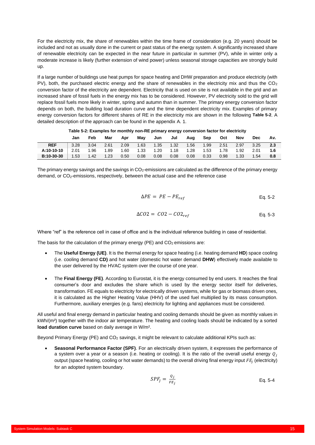For the electricity mix, the share of renewables within the time frame of consideration (e.g. 20 years) should be included and not as usually done in the current or past status of the energy system. A significantly increased share of renewable electricity can be expected in the near future in particular in summer (PV), while in winter only a moderate increase is likely (further extension of wind power) unless seasonal storage capacities are strongly build up.

If a large number of buildings use heat pumps for space heating and DHW preparation and produce electricity (with PV), both, the purchased electric energy and the share of renewables in the electricity mix and thus the  $CO<sub>2</sub>$ conversion factor of the electricity are dependent. Electricity that is used on site is not available in the grid and an increased share of fossil fuels in the energy mix has to be considered. However, PV electricity sold to the grid will replace fossil fuels more likely in winter, spring and autumn than in summer. The primary energy conversion factor depends on both, the building load duration curve and the time dependent electricity mix. Examples of primary energy conversion factors for different shares of RE in the electricity mix are shown in the following **[Table 5-2](#page-18-0)**. A detailed description of the approach can be found in the appendix [A. 1.](#page-29-1)

<span id="page-18-0"></span>

|            | Jan  | Feb  | Mar  | Apr  | Mav  | Jun  | Jul                              | Aug  | Sep  | Oct  | Nov  | <b>Dec</b> | Av. |
|------------|------|------|------|------|------|------|----------------------------------|------|------|------|------|------------|-----|
| <b>REF</b> | 3.28 | 3.04 | 2.61 | 2.09 | 1.63 | 1.35 | 1.32                             | 1.56 | 1.99 | 2.51 | 2.97 | 3.25       | 2.3 |
| A:10-10-10 | 2.01 | 1.96 | 1.89 | 1.60 | 1.33 | 1.20 | $\frac{1}{2}$ 1.18 $\frac{1}{2}$ | 1.28 | 1.53 | 1.78 | 1.92 | 2.01       | 1.6 |
| B:10-30-30 | 1.53 | 1.42 | 1.23 | 0.50 | 0.08 | 0.08 | 0.08                             | 0.08 | 0.33 | 0.98 | 1.33 | 1.54       | 0.8 |

**Table 5-2: Examples for monthly non-RE primary energy conversion factor for electricity**

The primary energy savings and the savings in CO2-emissions are calculated as the difference of the primary energy demand, or CO2-emissions, respectively, between the actual case and the reference case

$$
\Delta PE = PE - PE_{ref} \tag{Eq. 5-2}
$$

$$
\Delta CO2 = CO2 - CO2_{ref} \tag{Eq. 5-3}
$$

Where "ref" is the reference cell in case of office and is the individual reference building in case of residential.

The basis for the calculation of the primary energy (PE) and  $CO<sub>2</sub>$  emissions are:

- The **Useful Energy (UE)**. It is the thermal energy for space heating (i.e. heating demand **HD**) space cooling (i.e. cooling demand **CD)** and hot water (domestic hot water demand **DHW**) effectively made available to the user delivered by the HVAC system over the course of one year.
- The **Final Energy (FE)**. According to Eurostat, it is the energy consumed by end users. It reaches the final consumer's door and excludes the share which is used by the energy sector itself for deliveries, transformation. FE equals to electricity for electrically driven systems, while for gas or biomass driven ones, it is calculated as the Higher Heating Value (HHV) of the used fuel multiplied by its mass consumption. Furthermore, auxiliary energies (e.g. fans) electricity for lighting and appliances must be considered.

All useful and final energy demand in particular heating and cooling demands should be given as monthly values in kWh/(m²) together with the indoor air temperature. The heating and cooling loads should be indicated by a sorted **load duration curve** based on daily average in W/m².

Beyond Primary Energy (PE) and CO<sub>2</sub> savings, it might be relevant to calculate additional KPIs such as:

• **Seasonal Performance Factor (SPF)**. For an electrically driven system, it expresses the performance of a system over a year or a season (i.e. heating or cooling). It is the ratio of the overall useful energy  $q_i$ output (space heating, cooling or hot water demands) to the overall driving final energy input  $FE_j$  (electricity) for an adopted system boundary.

$$
SPF_j = \frac{Q_j}{FE_j}
$$
 Eq. 5-4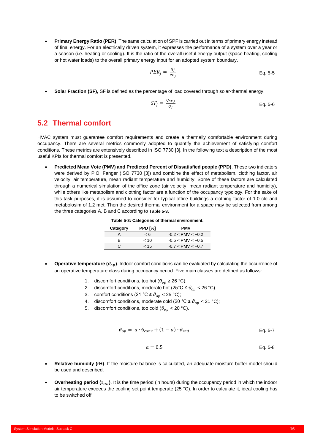• **Primary Energy Ratio (PER)**. The same calculation of SPF is carried out in terms of primary energy instead of final energy. For an electrically driven system, it expresses the performance of a system over a year or a season (i.e. heating or cooling). It is the ratio of the overall useful energy output (space heating, cooling or hot water loads) to the overall primary energy input for an adopted system boundary.

$$
PER_j = \frac{Q_j}{PE_j}
$$
 Eq. 5-5

• **Solar Fraction (SF),** SF is defined as the percentage of load covered through solar-thermal energy.

$$
SF_j = \frac{Q_{SF,j}}{Q_j}
$$
 Eq. 5-6

### <span id="page-19-0"></span>**5.2 Thermal comfort**

HVAC system must guarantee comfort requirements and create a thermally comfortable environment during occupancy. There are several metrics commonly adopted to quantify the achievement of satisfying comfort conditions. These metrics are extensively described in ISO 7730 [3]. In the following text a description of the most useful KPIs for thermal comfort is presented.

• **Predicted Mean Vote (PMV) and Predicted Percent of Dissatisfied people (PPD)**. These two indicators were derived by P.O. Fanger (ISO 7730 [3]) and combine the effect of metabolism, clothing factor, air velocity, air temperature, mean radiant temperature and humidity. Some of these factors are calculated through a numerical simulation of the office zone (air velocity, mean radiant temperature and humidity), while others like metabolism and clothing factor are a function of the occupancy typology. For the sake of this task purposes, it is assumed to consider for typical office buildings a clothing factor of 1.0 clo and metabolosim of 1.2 met. Then the desired thermal environment for a space may be selected from among the three categories A, B and C according to **[Table 5-3](#page-19-1)**.

| Category | PPD [%]  | <b>PMV</b>          |
|----------|----------|---------------------|
|          | $\leq 6$ | $-0.2 < PMV < +0.2$ |
| R        | ~10      | $-0.5 < PMV < +0.5$ |
| C.       | < 15     | $-0.7 < PMV < +0.7$ |

- **Table 5-3: Categories of thermal environment.**
- <span id="page-19-1"></span>**Operative temperature (** $\vartheta_{op}$ **).** Indoor comfort conditions can be evaluated by calculating the occurrence of an operative temperature class during occupancy period. Five main classes are defined as follows:
	- 1. discomfort conditions, too hot  $(\vartheta_{op} \ge 26 \text{ °C})$ ;
	- 2. discomfort conditions, moderate hot  $(25^{\circ} \text{C} \le \vartheta_{on} < 26^{\circ} \text{C})$
	- 3. comfort conditions (21 °C  $\leq \vartheta_{on}$  < 25 °C);
	- 4. discomfort conditions, moderate cold (20 °C  $\leq \vartheta_{op}$  < 21 °C);
	- 5. discomfort conditions, too cold ( $\vartheta_{op}$  < 20 °C).

$$
\vartheta_{op} = a \cdot \vartheta_{conv} + (1 - a) \cdot \vartheta_{rad}
$$
 Eq. 5-7

$$
a = 0.5
$$
 Eq. 5-8

- **Relative humidity (rH)**. If the moisture balance is calculated, an adequate moisture buffer model should be used and described.
- **Overheating period**  $(\tau_{OH})$ **.** It is the time period (in hours) during the occupancy period in which the indoor air temperature exceeds the cooling set point temperate (25 °C). In order to calculate it, ideal cooling has to be switched off.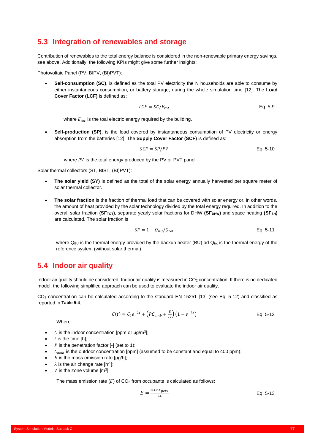## <span id="page-20-0"></span>**5.3 Integration of renewables and storage**

Contribution of renewables to the total energy balance is considered in the non-renewable primary energy savings, see above. Additionally, the following KPIs might give some further insights:

Photovoltaic Panel (PV, BIPV, (BI)PVT):

• **Self-consumption (SC)**, is defined as the total PV electricity the N households are able to consume by either instantaneous consumption, or battery storage, during the whole simulation time [12]. The **Load Cover Factor (LCF)** is defined as:

$$
LCF = SC/E_{tot}
$$
 Eq. 5-9

where  $E_{tot}$  is the toal electric energy required by the building.

• **Self-production (SP)**, is the load covered by instantaneous consumption of PV electricity or energy absorption from the batteries [12]. The **Supply Cover Factor (SCF)** is defined as:

$$
SCF = SP/PV
$$
 Eq. 5-10

where  $PV$  is the total energy produced by the PV or PVT panel.

Solar thermal collectors (ST, BIST, (BI)PVT):

- **The solar yield (SY)** is defined as the total of the solar energy annually harvested per square meter of solar thermal collector.
- **The solar fraction** is the fraction of thermal load that can be covered with solar energy or, in other words, the amount of heat provided by the solar technology divided by the total energy required. In addition to the overall solar fraction **(SFTOT)**, separate yearly solar fractions for DHW **(SFDHW)** and space heating **(SFSH)** are calculated. The solar fraction is

$$
SF = 1 - Q_{BU}/Q_{tot}
$$
 Eq. 5-11

where  $Q_{BU}$  is the thermal energy provided by the backup heater (BU) ad  $Q_{tot}$  is the thermal energy of the reference system (without solar thermal).

### <span id="page-20-1"></span>**5.4 Indoor air quality**

Indoor air quality should be considered. Indoor air quality is measured in CO<sub>2</sub> concentration. If there is no dedicated model, the following simplified approach can be used to evaluate the indoor air quality.

CO<sup>2</sup> concentration can be calculated according to the standard EN 15251 [13] (see [Eq. 5-12\)](#page-20-2) and classified as reported in **[Table 5-4](#page-21-1)**.

$$
C(t) = C_0 e^{-\lambda t} + \left( PC_{amb} + \frac{E}{\lambda V} \right) \left( 1 - e^{-\lambda t} \right)
$$
 Eq. 5-12

Where:

- C is the indoor concentration [ppm or  $\mu$ g/m<sup>3</sup>];
- $t$  is the time  $[h]$ :
- $P$  is the penetration factor  $[-]$  (set to 1);
- $c<sub>amb</sub>$  is the outdoor concentration [ppm] (assumed to be constant and equal to 400 ppm);
- $E$  is the mass emission rate  $[ud/h]$ :
- $\lambda$  is the air change rate [h<sup>-1</sup>];
- $V$  is the zone volume  $[m^3]$ .

The mass emission rate  $(E)$  of  $CO<sub>2</sub>$  from occupants is calculated as follows:

<span id="page-20-2"></span>
$$
E = \frac{n \cdot \text{IR} \cdot \text{C} \cdot \text{P} \cdot \text{C}}{24} \tag{Eq. 5-13}
$$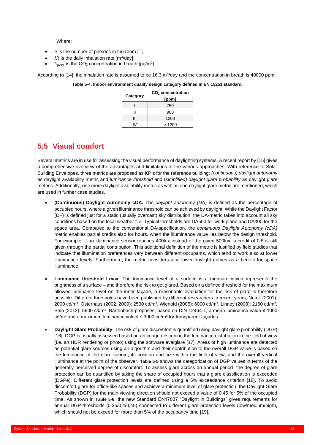#### Where:

- $n$  is the number of persons in the room  $[-]$ :
- *IR* is the daily inhalation rate  $[m^3/day]$ ;
- $C_{pers}$  is the CO<sub>2</sub> concentration in breath [µg/m<sup>3</sup>].

<span id="page-21-1"></span>According to [14], the inhalation rate is assumed to be 16.3 m<sup>3</sup>/day and the concentration in breath is 40000 ppm.

#### **Table 5-4: Indoor environment quality design category defined in EN 15251 standard.**

| Category | $CO2$ concentration<br>[ppm] |
|----------|------------------------------|
|          | 750                          |
| н        | 900                          |
| Ш        | 1200                         |
|          | >1200                        |

## <span id="page-21-0"></span>**5.5 Visual comfort**

Several metrics are in use for assessing the visual performance of daylighting systems. A recent report by [15] gives a comprehensive overview of the advantages and limitations of the various approaches. With reference to Solar Building Envelopes, three metrics are proposed as KPIs for the reference building: *(continuous) daylight autonomy* as daylight availability metric and *luminance threshold* and (*simplified) daylight glare probability* as daylight glare metrics. Additionally, one more daylight availability metric as well as one daylight glare metric are mentioned, which are used in further case studies.

- **(Continuous) Daylight Autonomy cDA.** The *daylight autonomy (DA)* is defined as the percentage of occupied hours, where a given illuminance threshold can be achieved by daylight. While the Daylight Factor (DF) is defined just for a static (usually overcast) sky distribution, the DA-metric takes into account all sky conditions based on the local weather file. Typical thresholds are DA500 for work plane and DA300 for the space area. Compared to the conventional DA-specification, the *continuous Daylight Autonomy (cDA)* metric enables partial credits also for hours, when the illuminance value lies below the design threshold. For example, if an illuminance sensor reaches 400lux instead of the given 500lux, a credit of 0.8 is still given through the partial contribution. This additional definition of the metric is justified by field studies that indicate that illumination preferences vary between different occupants, which tend to work also at lower illuminance levels. Furthermore, the metric considers also lower daylight entries as a benefit for space illuminance
- **Luminance threshold Lmax.** The luminance level of a surface is a measure which represents the brightness of a surface – and therefore the risk to get glared. Based on a defined threshold for the maximum allowed luminance level on the inner façade, a reasonable evaluation for the risk of glare is therefore possible. Different thresholds have been published by different researchers in recent years; Nutek (2001): 2000 cd/m², Osterhaus (2002, 2009): 2500 cd/m², Wienold (2005): 6000 cd/m², Linney (2008): 2160 cd/m², Shin (2012): 5600 cd/m². Bartenbach proposes, based on DIN 12464-1, a mean luminance value ≤ 1000 cd/m<sup>2</sup> and a maximum luminance valuef  $\leq$  3000 cd/m<sup>2</sup> for transparent façades.
- **Daylight Glare Probability**. The risk of glare discomfort is quantified using daylight glare probability (DGP) [16]. DGP is usually assessed based on an image describing the luminance distribution in the field of view (i.e. an HDR rendering or photo) using the software evalglare [17]. Areas of high luminance are detected as potential glare sources using an algorithm and their contribution to the overall DGP value is based on the luminance of the glare source, its position and size within the field of view, and the overall vertical illuminance at the point of the observer. **[Table 5-5](#page-22-1)** shows the categorization of DGP values in terms of the generally perceived degree of discomfort. To assess glare across an annual period, the degree of glare protection can be quantified by taking the share of occupied hours that a glare classification is exceeded (DGPe). Different glare protection levels are defined using a 5% exceedance criterion [18]. To avoid discomfort glare for office-like spaces and achieve a minimum level of glare protection, the Daylight Glare Probability (DGP) for the main viewing direction should not exceed a value of 0.45 for 5% of the occupied time. As shown in **[Table 5-6](#page-22-2)**, the new Standard EN17037 "Daylight in Buildings" gives requirements for annual DGP-thresholds (0,35/0,4/0,45) connected to different glare protection levels (low/medium/high), which should not be exceed for more than 5% of the occupancy time [19].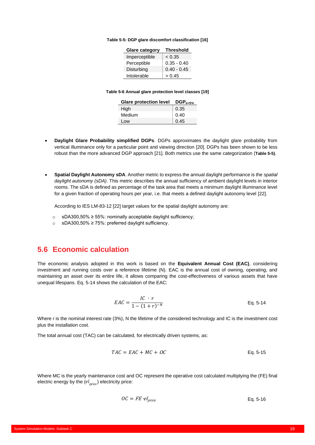#### <span id="page-22-1"></span>**Table 5-5: DGP glare discomfort classification [16]**

| <b>Glare category</b> | <b>Threshold</b> |
|-----------------------|------------------|
| Imperceptible         | < 0.35           |
| Perceptible           | $0.35 - 0.40$    |
| Disturbing            | $0.40 - 0.45$    |
| Intolerable           | > 0.45           |

#### **Table 5-6 Annual glare protection level classes [19]**

| <b>Glare protection level</b> | $\mathsf{DGP}_{\mathsf{a}\leq 5\%}$ |
|-------------------------------|-------------------------------------|
| High                          | 0.35                                |
| Medium                        | 0.40                                |
| Low                           | 0.45                                |

- <span id="page-22-2"></span>• **Daylight Glare Probability simplified DGPs**. DGPs approximates the daylight glare probability from vertical illuminance only for a particular point and viewing direction [20]. DGPs has been shown to be less robust than the more advanced DGP approach [21]. Both metrics use the same categorization (**[Table 5-5\)](#page-22-1)**.
- **Spatial Daylight Autonomy sDA**. Another metric to express the annual daylight performance is the *spatial daylight autonomy (sDA)*. This metric describes the annual sufficiency of ambient daylight levels in interior rooms. The sDA is defined as percentage of the task area that meets a minimum daylight illuminance level for a given fraction of operating hours per year, i.e. that meets a defined daylight autonomy level [22].

According to IES LM-83-12 [22] target values for the spatial daylight autonomy are:

- o sDA300,50% ≥ 55%: nominally acceptable daylight sufficiency;
- o sDA300,50% ≥ 75%: preferred daylight sufficiency.

### <span id="page-22-0"></span>**5.6 Economic calculation**

The economic analysis adopted in this work is based on the **Equivalent Annual Cost (EAC)**, considering investment and running costs over a reference lifetime (N). EAC is the annual cost of owning, operating, and maintaining an asset over its entire life, it allows comparing the cost-effectiveness of various assets that have unequal lifespans. [Eq. 5-14](#page-22-3) shows the calculation of the EAC:

<span id="page-22-3"></span>
$$
EAC = \frac{IC \cdot r}{1 - (1+r)^{-N}}
$$
Eq. 5-14

Where r is the nominal interest rate (3%), N the lifetime of the considered technology and IC is the investment cost plus the installation cost.

The total annual cost (TAC) can be calculated, for electrically driven systems, as:

$$
TAC = EAC + MC + OC
$$
 Eq. 5-15

Where MC is the yearly maintenance cost and OC represent the operative cost calculated multiplying the (FE) final electric energy by the  $(el<sub>price</sub>)$  electricity price:

$$
OC = FE \cdot el_{price}
$$
 Eq. 5-16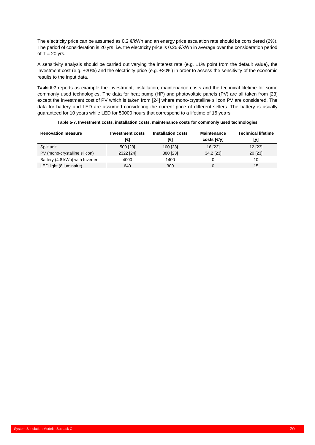The electricity price can be assumed as 0.2 €/kWh and an energy price escalation rate should be considered (2%). The period of consideration is 20 yrs, i.e. the electricity price is 0.25 €/kWh in average over the consideration period of  $T = 20$  yrs.

A sensitivity analysis should be carried out varying the interest rate (e.g. ±1% point from the default value), the investment cost (e.g. ±20%) and the electricity price (e.g. ±20%) in order to assess the sensitivity of the economic results to the input data.

**[Table 5-7](#page-23-0)** reports as example the investment, installation, maintenance costs and the technical lifetime for some commonly used technologies. The data for heat pump (HP) and photovoltaic panels (PV) are all taken from [23] except the investment cost of PV which is taken from [24] where mono-crystalline silicon PV are considered. The data for battery and LED are assumed considering the current price of different sellers. The battery is usually guaranteed for 10 years while LED for 50000 hours that correspond to a lifetime of 15 years.

<span id="page-23-0"></span>

| <b>Renovation measure</b>       | Investment costs | Installation costs | <b>Maintenance</b> | <b>Technical lifetime</b> |
|---------------------------------|------------------|--------------------|--------------------|---------------------------|
|                                 | [€]              | [€]                | costs [€/y]        | [y]                       |
| Split unit                      | 500 [23]         | 100 [23]           | 16 [23]            | 12 [23]                   |
| PV (mono-crystalline silicon)   | 2322 [24]        | 380 [23]           | 34.2 [23]          | 20 [23]                   |
| Battery (4.8 kWh) with Inverter | 4000             | 1400               |                    | 10                        |
| LED light (8 luminaire)         | 640              | 300                | 0                  | 15                        |

| Table 5-7. Investment costs, installation costs, maintenance costs for commonly used technologies |  |  |  |
|---------------------------------------------------------------------------------------------------|--|--|--|
|                                                                                                   |  |  |  |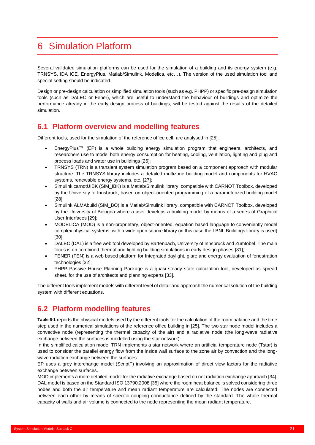## <span id="page-24-0"></span>6 Simulation Platform

Several validated simulation platforms can be used for the simulation of a building and its energy system (e.g. TRNSYS, IDA ICE, EnergyPlus, Matlab/Simulink, Modelica, etc…). The version of the used simulation tool and special setting should be indicated.

Design or pre-design calculation or simplified simulation tools (such as e.g. PHPP) or specific pre-design simulation tools (such as DALEC or Fener), which are useful to understand the behaviour of buildings and optimize the performance already in the early design process of buildings, will be tested against the results of the detailed simulation.

## <span id="page-24-1"></span>**6.1 Platform overview and modelling features**

Different tools, used for the simulation of the reference office cell, are analysed in [25]:

- EnergyPlus™ (EP) is a whole building energy simulation program that engineers, architects, and researchers use to model both energy consumption for heating, cooling, ventilation, lighting and plug and process loads and water use in buildings [26];
- TRNSYS (TRN) is a transient system simulation program based on a component approach with modular structure. The TRNSYS library includes a detailed multizone building model and components for HVAC systems, renewable energy systems, etc. [27];
- Simulink carnotUIBK (SIM\_IBK) is a Matlab/Simulink library, compatible with CARNOT Toolbox, developed by the University of Innsbruck, based on object-oriented programming of a parameterized building model [28];
- Simulink ALMAbuild (SIM\_BO) is a Matlab/Simulink library, compatible with CARNOT Toolbox, developed by the University of Bologna where a user develops a building model by means of a series of Graphical User Interfaces [29];
- MODELICA (MOD) is a non-proprietary, object-oriented, equation based language to conveniently model complex physical systems, with a wide open source library (in this case the LBNL Buildings library is used) [30];
- DALEC (DAL) is a free web tool developed by Bartenbach, University of Innsbruck and Zumtobel. The main focus is on combined thermal and lighting building simulations in early design phases [31];
- FENER (FEN) is a web based platform for Integrated daylight, glare and energy evaluation of fenestration technologies [32];
- PHPP Passive House Planning Package is a quasi steady state calculation tool, developed as spread sheet, for the use of architects and planning experts [33].

The different tools implement models with different level of detail and approach the numerical solution of the building system with different equations.

## <span id="page-24-2"></span>**6.2 Platform modelling features**

**[Table 6-1](#page-25-0)** reports the physical models used by the different tools for the calculation of the room balance and the time step used in the numerical simulations of the reference office building in [25]. The two star node model includes a convective node (representing the thermal capacity of the air) and a radiative node (the long-wave radiative exchange between the surfaces is modelled using the star network).

In the simplified calculation mode, TRN implements a star network where an artificial temperature node (Tstar) is used to consider the parallel energy flow from the inside wall surface to the zone air by convection and the longwave radiation exchange between the surfaces.

EP uses a grey interchange model (ScriptF) involving an approximation of direct view factors for the radiative exchange between surfaces.

MOD implements a more detailed model for the radiative exchange based on net radiation exchange approach [34]. DAL model is based on the Standard ISO 13790:2008 [35] where the room heat balance is solved considering three nodes and both the air temperature and mean radiant temperature are calculated. The nodes are connected between each other by means of specific coupling conductance defined by the standard. The whole thermal capacity of walls and air volume is connected to the node representing the mean radiant temperature.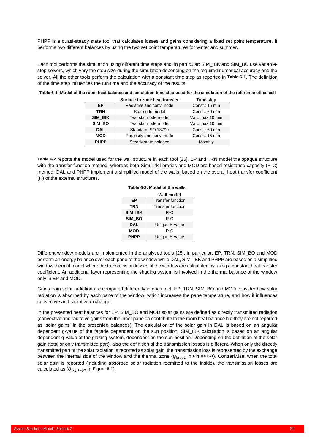PHPP is a quasi-steady state tool that calculates losses and gains considering a fixed set point temperature. It performs two different balances by using the two set point temperatures for winter and summer.

Each tool performs the simulation using different time steps and, in particular: SIM\_IBK and SIM\_BO use variablestep solvers, which vary the step size during the simulation depending on the required numerical accuracy and the solver. All the other tools perform the calculation with a constant time step as reported in **[Table 6-1](#page-25-0)**. The definition of the time step influences the run time and the accuracy of the results.

#### <span id="page-25-0"></span>**Table 6-1: Model of the room heat balance and simulation time step used for the simulation of the reference office cell**

|             | Surface to zone heat transfer | Time step        |
|-------------|-------------------------------|------------------|
| EP          | Radiative and conv. node      | Const.: 15 min   |
| <b>TRN</b>  | Star node model               | Const.: 60 min   |
| SIM IBK     | Two star node model           | Var.: max 10 min |
| SIM BO      | Two star node model           | Var.: max 10 min |
| <b>DAL</b>  | Standard ISO 13790            | Const.: 60 min   |
| <b>MOD</b>  | Radiosity and conv. node      | Const.: 15 min   |
| <b>PHPP</b> | Steady state balance          | Monthly          |

<span id="page-25-1"></span>**[Table 6-2](#page-25-1)** reports the model used for the wall structure in each tool [25]. EP and TRN model the opaque structure with the transfer function method, whereas both Simulink libraries and MOD are based resistance-capacity (R-C) method. DAL and PHPP implement a simplified model of the walls, based on the overall heat transfer coefficient (H) of the external structures.

| Table 6-2: Model of the walls. |  |  |  |  |
|--------------------------------|--|--|--|--|
|--------------------------------|--|--|--|--|

|                | Wall model               |  |  |  |  |
|----------------|--------------------------|--|--|--|--|
| ЕP             | <b>Transfer function</b> |  |  |  |  |
| TRN            | <b>Transfer function</b> |  |  |  |  |
| <b>SIM IBK</b> | $R-C$                    |  |  |  |  |
| SIM BO         | R-C                      |  |  |  |  |
| <b>DAL</b>     | Unique H value           |  |  |  |  |
| <b>MOD</b>     | $R-C$                    |  |  |  |  |
| <b>PHPP</b>    | Unique H value           |  |  |  |  |
|                |                          |  |  |  |  |

Different window models are implemented in the analysed tools [25], in particular, EP, TRN, SIM\_BO and MOD perform an energy balance over each pane of the window while DAL, SIM\_IBK and PHPP are based on a simplified window thermal model where the transmission losses of the window are calculated by using a constant heat transfer coefficient. An additional layer representing the shading system is involved in the thermal balance of the window only in EP and MOD.

Gains from solar radiation are computed differently in each tool. EP, TRN, SIM\_BO and MOD consider how solar radiation is absorbed by each pane of the window, which increases the pane temperature, and how it influences convective and radiative exchange.

In the presented heat balances for EP, SIM\_BO and MOD solar gains are defined as directly transmitted radiation (convective and radiative gains from the inner pane do contribute to the room heat balance but they are not reported as 'solar gains' in the presented balances). The calculation of the solar gain in DAL is based on an angular dependent g-value of the façade dependent on the sun position, SIM\_IBK calculation is based on an angular dependent g-value of the glazing system, dependent on the sun position. Depending on the definition of the solar gain (total or only transmitted part), also the definition of the transmission losses is different. When only the directly transmitted part of the solar radiation is reported as solar gain, the transmission loss is represented by the exchange between the internal side of the window and the thermal zone  $(\dot{Q}_{int,p2})$  in **[Figure 6-1](#page-26-1)**). Contrariwise, when the total solar gain is reported (including absorbed solar radiation reemitted to the inside), the transmission losses are calculated as  $(\dot{Q}_{tr,p1-p2}$  in **[Figure 6-1](#page-26-1)**).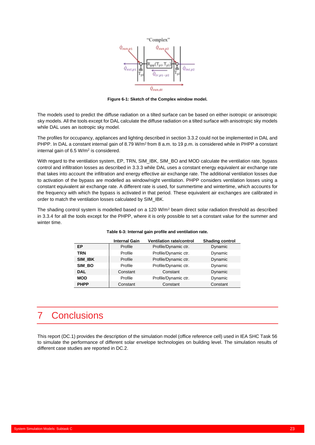

**Figure 6-1: Sketch of the Complex window model.**

<span id="page-26-1"></span>The models used to predict the diffuse radiation on a tilted surface can be based on either isotropic or anisotropic sky models. All the tools except for DAL calculate the diffuse radiation on a tilted surface with anisotropic sky models while DAL uses an isotropic sky model.

The profiles for occupancy, appliances and lighting described in sectio[n 3.3.2](#page-8-0) could not be implemented in DAL and PHPP. In DAL a constant internal gain of 8.79 W/m<sup>2</sup> from 8 a.m. to 19 p.m. is considered while in PHPP a constant internal gain of 6.5 W/m<sup>2</sup> is considered.

With regard to the ventilation system, EP, TRN, SIM\_IBK, SIM\_BO and MOD calculate the ventilation rate, bypass control and infiltration losses as described in [3.3.3](#page-10-0) while DAL uses a constant energy equivalent air exchange rate that takes into account the infiltration and energy effective air exchange rate. The additional ventilation losses due to activation of the bypass are modelled as window/night ventilation. PHPP considers ventilation losses using a constant equivalent air exchange rate. A different rate is used, for summertime and wintertime, which accounts for the frequency with which the bypass is activated in that period. These equivalent air exchanges are calibrated in order to match the ventilation losses calculated by SIM\_IBK.

The shading control system is modelled based on a 120 W/m<sup>2</sup> beam direct solar radiation threshold as described in [3.3.4](#page-11-0) for all the tools except for the PHPP, where it is only possible to set a constant value for the summer and winter time.

|             | <b>Internal Gain</b> | <b>Ventilation rate/control</b> | <b>Shading control</b> |
|-------------|----------------------|---------------------------------|------------------------|
| ЕP          | Profile              | Profile/Dynamic ctr.            | Dynamic                |
| <b>TRN</b>  | Profile              | Profile/Dynamic ctr.            | Dynamic                |
| SIM IBK     | Profile              | Profile/Dynamic ctr.            | Dynamic                |
| SIM_BO      | Profile              | Profile/Dynamic ctr.            | Dynamic                |
| <b>DAL</b>  | Constant             | Constant                        | Dynamic                |
| <b>MOD</b>  | Profile              | Profile/Dynamic ctr.            | Dynamic                |
| <b>PHPP</b> | Constant             | Constant                        | Constant               |

#### **Table 6-3: Internal gain profile and ventilation rate.**

## <span id="page-26-0"></span>7 Conclusions

This report (DC.1) provides the description of the simulation model (office reference cell) used in IEA SHC Task 56 to simulate the performance of different solar envelope technologies on building level. The simulation results of different case studies are reported in DC.2.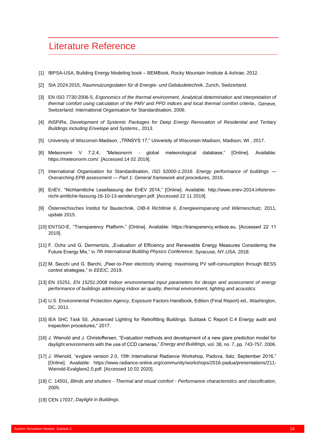## <span id="page-27-0"></span>Literature Reference

- [1] IBPSA-USA, Building Energy Modeling book BEMBook, Rocky Mountain Institute & Ashrae, 2012.
- [2] SIA 2024:2015, *Raumnutzungsdaten für di Energie- und Gebäudetechnik,* Zurich, Switzerland.
- [3] EN ISO 7730:2006-5, *Ergonomics of the thermal environment. Analytical determination and interpretation of thermal comfort using calculation of the PMV and PPD indices and local thermal comfort criteria.,* Geneve, Switzerland: International Organisation for Standardisation, 2006.
- [4] iNSPiRe, *Development of Systemic Packages for Deep Energy Renovation of Residential and Tertiary Buildings including Envelope and Systems.,* 2013.
- [5] University of Wisconsin-Madison, "TRNSYS 17," University of Wisconsin-Madison, Madison, WI, 2017.
- [6] Meteonorm V 7.2.4, "Meteonorm global meteorological database," [Online]. Available: https://meteonorm.com/. [Accessed 14 02 2019].
- [7] International Organisation for Standardisation, *ISO 52000-1:2016. Energy performance of buildings — Overarching EPB assessment — Part 1: General framework and procedures,* 2016.
- [8] EnEV, "Nichtamtliche Lesefassung der EnEV 2014," [Online]. Available: http://www.enev-2014.info/enevnicht-amtliche-fassung-16-10-13-aenderungen.pdf. [Accessed 22 11 2019].
- [9] Österreichisches Institut für Bautechnik, *OIB-6 Richtlinie 6, Energieeinsparung und Wärmeschutz,* 2011, update 2015.
- [10] ENTSO-E, "Transparency Platform," [Online]. Available: https://transparency.entsoe.eu. [Accessed 22 11 2019].
- [11] F. Ochs und G. Dermentzis, "Evaluation of Efficiency and Renewable Energy Measures Considering the Future Energy Mix," in *7th International Building Physics Conference*, Syracuse, NY,USA, 2018.
- [12] M. Secchi und G. Barchi, "Peer-to-Peer electricity sharing: maximising PV self-consumption through BESS control strategies," in *EEEIC*, 2019.
- [13] EN 15251, *EN 15251:2008 Indoor environmental input parameters for design and assessment of energy performance of buildings addressing indoor air quality, thermal environment, lighting and acoustics.*
- [14] U.S. Environmental Protection Agency, Exposure Factors Handbook, Edition (Final Report) ed., Washington, DC, 2011.
- [15] IEA SHC Task 50, "Advanced Lighting for Retrofitting Buildings. Subtask C Report C.4 Energy audit and inspection procedures," 2017.
- [16] J. Wienold and J. Christoffersen, "Evaluation methods and development of a new glare prediction model for daylight environments with the use of CCD cameras," *Energy and Buildings,* vol. 38, no. 7, pp. 743-757, 2006.
- [17] J. Wienold, "evglare version 2.0, 15th International Radiance Workshop, Padova, Italz, September 2016," [Online]. Available: https://www.radiance-online.org/community/workshops/2016-padua/presentations/211- Wienold-Evalglare2.0.pdf. [Accessed 10 02 2020].
- [18] C. 14501, *Blinds and shutters - Thermal and visual comfort - Performance characteristics and classification,*  2005.
- [19] CEN 17037, *Daylight in Buildings.*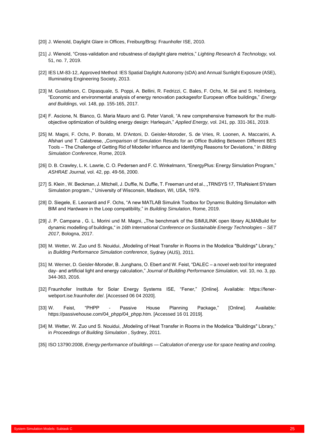- [20] J. Wienold, Daylight Glare in Offices, Freiburg/Brsg: Fraunhofer ISE, 2010.
- [21] J. Wienold, "Cross-validation and robustness of daylight glare metrics," *Lighting Research & Technology,* vol. 51, no. 7, 2019.
- [22] IES LM-83-12, Approved Method: IES Spatial Daylight Autonomy (sDA) and Annual Sunlight Exposure (ASE), Illuminating Engineering Society, 2013.
- [23] M. Gustafsson, C. Dipasquale, S. Poppi, A. Bellini, R. Fedrizzi, C. Bales, F. Ochs, M. Sié and S. Holmberg, "Economic and environmental analysis of energy renovation packagesfor European office buildings," *Energy and Buildings,* vol. 148, pp. 155-165, 2017.
- [24] F. Ascione, N. Bianco, G. Maria Mauro and G. Peter Vanoli, "A new comprehensive framework for the multiobjective optimization of building energy design: Harlequin," *Applied Energy,* vol. 241, pp. 331-361, 2019.
- [25] M. Magni, F. Ochs, P. Bonato, M. D'Antoni, D. Geisler-Moroder, S. de Vries, R. Loonen, A. Maccarini, A. Afshari und T. Calabrese, "Comparison of Simulation Results for an Office Building Between Different BES Tools – The Challenge of Getting Rid of Modeller Influence and Identifying Reasons for Deviations," in *Bilding Simulation Conference*, Rome, 2019.
- [26] D. B. Crawley, L. K. Lawrie, C. O. Pedersen and F. C. Winkelmann, "EnergyPlus: Energy Simulation Program," *ASHRAE Journal,* vol. 42, pp. 49-56, 2000.
- [27] S. Klein, W. Beckman, J. Mitchell, J. Duffie, N. Duffie, T. Freeman und et al., "TRNSYS 17, TRaNsient SYstem Simulation program.," University of Wisconsin, Madison, WI, USA, 1979.
- [28] D. Siegele, E. Leonardi and F. Ochs, "A new MATLAB Simulink Toolbox for Dynamic Building Simulaiton with BIM and Hardware in the Loop compatibility," in *Building Simulation*, Rome, 2019.
- [29] J. P. Campana, G. L. Morini und M. Magni, "The benchmark of the SIMULINK open library ALMABuild for dynamic modelling of buildings," in *16th International Conference on Sustainable Energy Technologies – SET 2017*, Bologna, 2017.
- [30] M. Wetter, W. Zuo und S. Nouidui, "Modeling of Heat Transfer in Rooms in the Modelica "Buildings" Library," in *Building Performance Simulation conference*, Sydney (AUS), 2011.
- [31] M. Werner, D. Geisler-Moroder, B. Junghans, O. Ebert and W. Feist, "DALEC a novel web tool for integrated day- and artificial light and energy calculation," *Journal of Building Performance Simulation,* vol. 10, no. 3, pp. 344-363, 2016.
- [32] Fraunhofer Institute for Solar Energy Systems ISE, "Fener," [Online]. Available: https://fenerwebport.ise.fraunhofer.de/. [Accessed 06 04 2020].
- [33] W. Feist, "PHPP Passive House Planning Package," [Online]. Available: https://passivehouse.com/04\_phpp/04\_phpp.htm. [Accessed 16 01 2019].
- [34] M. Wetter, W. Zuo und S. Nouidui, "Modeling of Heat Transfer in Rooms in the Modelica "Buildings" Library," in *Proceedings of Building Simulation* , Sydney, 2011.
- [35] ISO 13790:2008, *Energy performance of buildings — Calculation of energy use for space heating and cooling.*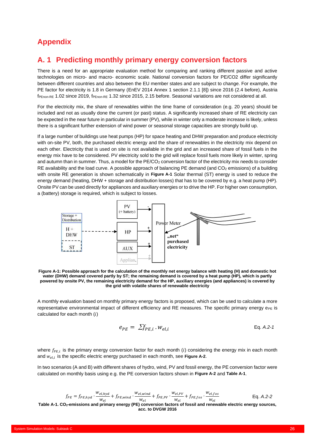## <span id="page-29-0"></span>**Appendix**

### <span id="page-29-1"></span>**A. 1 Predicting monthly primary energy conversion factors**

There is a need for an appropriate evaluation method for comparing and ranking different passive and active technologies on micro- and macro- economic scale. National conversion factors for PE/CO2 differ significantly between different countries and also between the EU member states and are subject to change. For example, the PE factor for electricity is 1.8 in Germany (EnEV 2014 Annex 1 section 2.1.1 [8]) since 2016 (2.4 before), Austria f<sub>PEnon-RE</sub> 1.02 since 2019, f<sub>PEnon-RE</sub> 1.32 since 2015, 2.15 before. Seasonal variations are not considered at all.

For the electricity mix, the share of renewables within the time frame of consideration (e.g. 20 years) should be included and not as usually done the current (or past) status. A significantly increased share of RE electricity can be expected in the near future in particular in summer (PV), while in winter only a moderate increase is likely, unless there is a significant further extension of wind power or seasonal storage capacities are strongly build up.

If a large number of buildings use heat pumps (HP) for space heating and DHW preparation and produce electricity with on-site PV, both, the purchased electric energy and the share of renewables in the electricity mix depend on each other. Electricity that is used on site is not available in the grid and an increased share of fossil fuels in the energy mix have to be considered. PV electricity sold to the grid will replace fossil fuels more likely in winter, spring and autumn than in summer. Thus, a model for the PE/CO<sub>2</sub> conversion factor of the electricity mix needs to consider RE availability and the load curve. A possible approach of balancing PE demand (and CO<sub>2</sub> emissions) of a building with onsite RE generation is shown schematically in **[Figure A-1](#page-29-2)** Solar thermal (ST) energy is used to reduce the energy demand (heating, DHW + storage and distribution losses) that has to be covered by e.g. a heat pump (HP). Onsite PV can be used directly for appliances and auxiliary energies or to drive the HP. For higher own consumption, a (battery) storage is required, which is subject to losses.



<span id="page-29-2"></span>**Figure A-1: Possible approach for the calculation of the monthly net energy balance with heating (H) and domestic hot water (DHW) demand covered partly by ST; the remaining demand is covered by a heat pump (HP), which is partly powered by onsite PV, the remaining electricity demand for the HP, auxiliary energies (and appliances) is covered by the grid with volatile shares of renewable electricity**

A monthly evaluation based on monthly primary energy factors is proposed, which can be used to calculate a more representative environmental impact of different efficiency and RE measures. The specific primary energy  $e_{PE}$  is calculated for each month  $(i)$ 

$$
e_{PE} = \sum f_{PE,i} \cdot w_{el,i} \tag{Eq. A.2-1}
$$

where  $f_{PE,i}$  is the primary energy conversion factor for each month (i) considering the energy mix in each month and  $w_{el,i}$  is the specific electric energy purchased in each month, see [Figure A-2](#page-30-0).

In two scenarios (A and B) with different shares of hydro, wind, PV and fossil energy, the PE conversion factor were calculated on monthly basis using e.g. the PE conversion factors shown in **[Figure A-2](#page-30-0)** and **[Table A-1](#page-29-3)**.

<span id="page-29-3"></span>

| $f_{PE} = f_{PE,hyd} \cdot \frac{w_{el,hyd}}{w_{el}} + f_{PE,wind} \cdot \frac{w_{el,wind}}{w_{el}} + f_{PE,PV} \cdot \frac{w_{el,PV}}{w_{el}} + f_{PE,fos} \cdot \frac{w_{el,fos}}{w_{el}}$ | Eq. A.2-2 |
|----------------------------------------------------------------------------------------------------------------------------------------------------------------------------------------------|-----------|
| Table A-1. CO <sub>2</sub> -emissions and primary energy (PE) conversion factors of fossil and renewable electric energy sources, acc. to DVGW 2016                                          |           |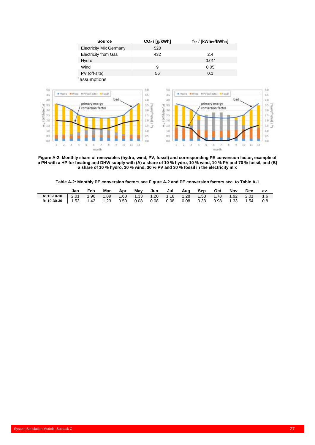

<span id="page-30-0"></span>**Figure A-2: Monthly share of renewables (hydro, wind, PV, fossil) and corresponding PE conversion factor, example of a PH with a HP for heating and DHW supply with (A) a share of 10 % hydro, 10 % wind, 10 % PV and 70 % fossil, and (B) a share of 10 % hydro, 30 % wind, 30 % PV and 30 % fossil in the electricity mix**

| Table A-2: Monthly PE conversion factors see Figure A-2 and PE conversion factors acc. to Table A-1 |  |  |  |  |  |
|-----------------------------------------------------------------------------------------------------|--|--|--|--|--|
|                                                                                                     |  |  |  |  |  |

|                                     | Jan | Feb  | Mar | Apr  | Mav  | Jun Jul | Aua Sep | Oct | Nov | Dec                                                             | av. |
|-------------------------------------|-----|------|-----|------|------|---------|---------|-----|-----|-----------------------------------------------------------------|-----|
| A: 10-10-10 $\vert$ 2.01            |     | 1.96 |     |      |      |         |         |     |     | 1.89  1.60  1.33  1.20  1.18  1.28  1.53  1.78  1.92  2.01  1.6 |     |
| <b>B:</b> 10-30-30   1.53 1.42 1.23 |     |      |     | 0.50 | 0.08 | 0.08    |         |     |     | 0.08 0.08 0.33 0.98 1.33 1.54 0.8                               |     |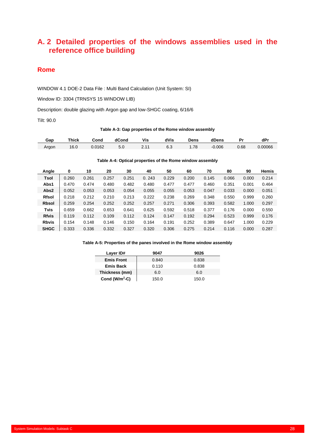## <span id="page-31-0"></span>**A. 2 Detailed properties of the windows assemblies used in the reference office building**

### **Rome**

WINDOW 4.1 DOE-2 Data File : Multi Band Calculation (Unit System: SI)

Window ID: 3304 (TRNSYS 15 WINDOW LIB)

Description: double glazing with Argon gap and low-SHGC coating, 6/16/6

Tilt: 90.0

#### **Table A-3: Gap properties of the Rome window assembly**

| Gap   | Thick | Cond   | dCond | Vis                            | dVis             | Dens | dDens | . .  | dPr     |
|-------|-------|--------|-------|--------------------------------|------------------|------|-------|------|---------|
| Argon | 16.0  | 0.0162 | v.v   | $\overline{A}$<br>$-\cdot$ $-$ | <u>_</u><br>0. J | 70   | 0.006 | 0.68 | 0.00066 |

#### **Table A-4: Optical properties of the Rome window assembly**

| Angle        | 0     | 10    | 20    | 30    | 40    | 50    | 60    | 70    | 80    | 90    | <b>Hemis</b> |
|--------------|-------|-------|-------|-------|-------|-------|-------|-------|-------|-------|--------------|
| Tsol         | 0.260 | 0.261 | 0.257 | 0.251 | 0.243 | 0.229 | 0.200 | 0.145 | 0.066 | 0.000 | 0.214        |
| Abs1         | 0.470 | 0.474 | 0.480 | 0.482 | 0.480 | 0.477 | 0.477 | 0.460 | 0.351 | 0.001 | 0.464        |
| Abs2         | 0.052 | 0.053 | 0.053 | 0.054 | 0.055 | 0.055 | 0.053 | 0.047 | 0.033 | 0.000 | 0.051        |
| <b>Rfsol</b> | 0.218 | 0.212 | 0.210 | 0.213 | 0.222 | 0.238 | 0.269 | 0.348 | 0.550 | 0.999 | 0.260        |
| <b>Rbsol</b> | 0.259 | 0.254 | 0.252 | 0.252 | 0.257 | 0.271 | 0.306 | 0.393 | 0.582 | 1.000 | 0.297        |
| <b>Tvis</b>  | 0.659 | 0.662 | 0.653 | 0.641 | 0.625 | 0.592 | 0.518 | 0.377 | 0.176 | 0.000 | 0.550        |
| <b>Rfvis</b> | 0.119 | 0.112 | 0.109 | 0.112 | 0.124 | 0.147 | 0.192 | 0.294 | 0.523 | 0.999 | 0.176        |
| <b>Rbvis</b> | 0.154 | 0.148 | 0.146 | 0.150 | 0.164 | 0.191 | 0.252 | 0.389 | 0.647 | 1.000 | 0.229        |
| <b>SHGC</b>  | 0.333 | 0.336 | 0.332 | 0.327 | 0.320 | 0.306 | 0.275 | 0.214 | 0.116 | 0.000 | 0.287        |

#### **Table A-5: Properties of the panes involved in the Rome window assembly**

| Layer ID#         | 9047  | 9026  |
|-------------------|-------|-------|
| <b>Emis Front</b> | 0.840 | 0.838 |
| <b>Emis Back</b>  | 0.110 | 0.838 |
| Thickness (mm)    | 6.0   | 6.0   |
| Cond ( $W/m2-C$ ) | 150.0 | 150.0 |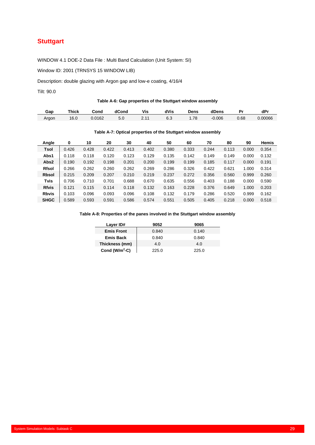## **Stuttgart**

WINDOW 4.1 DOE-2 Data File : Multi Band Calculation (Unit System: SI)

Window ID: 2001 (TRNSYS 15 WINDOW LIB)

Description: double glazing with Argon gap and low-e coating, 4/16/4

Tilt: 90.0

#### **Table A-6: Gap properties of the Stuttgart window assembly**

| Эaр   | Thick | Cond   | dCond | Vis                         | dVis            | Jens | dDens | o,   | dP.     |
|-------|-------|--------|-------|-----------------------------|-----------------|------|-------|------|---------|
| Argon | 16.0  | 0.0162 | ว.บ   | $\overline{44}$<br><u>.</u> | <u>_</u><br>0.J | .78  | 0.006 | 0.68 | 0.00066 |

#### **Table A-7: Optical properties of the Stuttgart window assembly**

| Angle        | 0     | 10    | 20    | 30    | 40    | 50    | 60    | 70    | 80    | 90    | <b>Hemis</b> |
|--------------|-------|-------|-------|-------|-------|-------|-------|-------|-------|-------|--------------|
| Tsol         | 0.426 | 0.428 | 0.422 | 0.413 | 0.402 | 0.380 | 0.333 | 0.244 | 0.113 | 0.000 | 0.354        |
| Abs1         | 0.118 | 0.118 | 0.120 | 0.123 | 0.129 | 0.135 | 0.142 | 0.149 | 0.149 | 0.000 | 0.132        |
| Abs2         | 0.190 | 0.192 | 0.198 | 0.201 | 0.200 | 0.199 | 0.199 | 0.185 | 0.117 | 0.000 | 0.191        |
| <b>Rfsol</b> | 0.266 | 0.262 | 0.260 | 0.262 | 0.269 | 0.286 | 0.326 | 0.422 | 0.621 | 1.000 | 0.314        |
| <b>Rbsol</b> | 0.215 | 0.209 | 0.207 | 0.210 | 0.219 | 0.237 | 0.272 | 0.356 | 0.560 | 0.999 | 0.260        |
| Tvis         | 0.706 | 0.710 | 0.701 | 0.688 | 0.670 | 0.635 | 0.556 | 0.403 | 0.188 | 0.000 | 0.590        |
| <b>Rfvis</b> | 0.121 | 0.115 | 0.114 | 0.118 | 0.132 | 0.163 | 0.228 | 0.376 | 0.649 | 1.000 | 0.203        |
| <b>Rbvis</b> | 0.103 | 0.096 | 0.093 | 0.096 | 0.108 | 0.132 | 0.179 | 0.286 | 0.520 | 0.999 | 0.162        |
| <b>SHGC</b>  | 0.589 | 0.593 | 0.591 | 0.586 | 0.574 | 0.551 | 0.505 | 0.405 | 0.218 | 0.000 | 0.518        |

#### **Table A-8: Properties of the panes involved in the Stuttgart window assembly**

| Layer ID#         | 9052  | 9065  |  |  |
|-------------------|-------|-------|--|--|
| <b>Emis Front</b> | 0.840 | 0.140 |  |  |
| <b>Emis Back</b>  | 0.840 | 0.840 |  |  |
| Thickness (mm)    | 4.0   | 4.0   |  |  |
| Cond ( $W/m2-C$ ) | 225.0 | 225.0 |  |  |